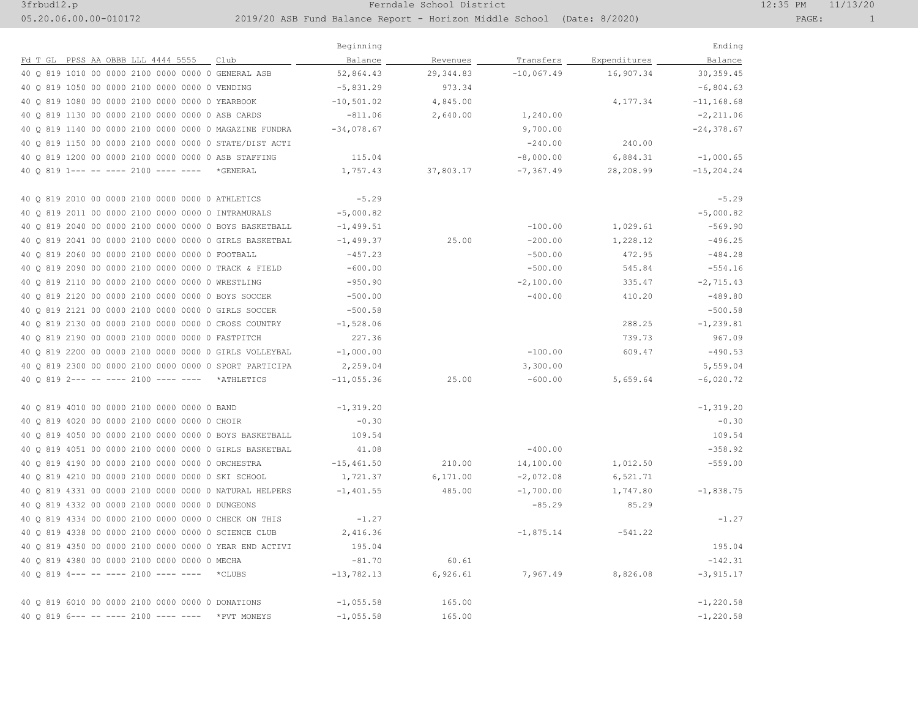3frbud12.p 05.20.06.00.00-010172

## 3fremdale School District 12:35 PM 11/13/20 2019/20 ASB Fund Balance Report - Horizon Middle School (Date: 8/2020) PAGE: 1

|                                                        | Beginning      |            |              |              | Ending        |
|--------------------------------------------------------|----------------|------------|--------------|--------------|---------------|
| Fd T GL PPSS AA OBBB LLL 4444 5555<br>Club             | Balance        | Revenues   | Transfers    | Expenditures | Balance       |
| 40 0 819 1010 00 0000 2100 0000 0000 0 GENERAL ASB     | 52,864.43      | 29, 344.83 | $-10,067.49$ | 16,907.34    | 30, 359.45    |
| 40 Q 819 1050 00 0000 2100 0000 0000 0 VENDING         | $-5,831.29$    | 973.34     |              |              | $-6,804.63$   |
| 40 0 819 1080 00 0000 2100 0000 0000 0 YEARBOOK        | $-10, 501.02$  | 4,845.00   |              | 4,177.34     | $-11, 168.68$ |
| 40 0 819 1130 00 0000 2100 0000 0000 0 ASB CARDS       | $-811.06$      | 2,640.00   | 1,240.00     |              | $-2, 211.06$  |
| 40 Q 819 1140 00 0000 2100 0000 0000 0 MAGAZINE FUNDRA | $-34,078.67$   |            | 9,700.00     |              | $-24, 378.67$ |
| 40 0 819 1150 00 0000 2100 0000 0000 0 STATE/DIST ACTI |                |            | $-240.00$    | 240.00       |               |
| 40 0 819 1200 00 0000 2100 0000 0000 0 ASB STAFFING    | 115.04         |            | $-8,000.00$  | 6,884.31     | $-1,000.65$   |
| 40 0 819 1--- -- ---- 2100 ---- ----<br>*GENERAL       | 1,757.43       | 37,803.17  | $-7, 367.49$ | 28,208.99    | $-15, 204.24$ |
| 40 0 819 2010 00 0000 2100 0000 0000 0 ATHLETICS       | $-5.29$        |            |              |              | $-5.29$       |
| 40 0 819 2011 00 0000 2100 0000 0000 0 INTRAMURALS     | $-5,000.82$    |            |              |              | $-5,000.82$   |
| 40 0 819 2040 00 0000 2100 0000 0000 0 BOYS BASKETBALL | $-1.499.51$    |            | $-100.00$    | 1,029.61     | $-569.90$     |
| 40 0 819 2041 00 0000 2100 0000 0000 0 GIRLS BASKETBAL | $-1,499.37$    | 25.00      | $-200.00$    | 1,228.12     | $-496.25$     |
| 40 Q 819 2060 00 0000 2100 0000 0000 0 FOOTBALL        | $-457.23$      |            | $-500.00$    | 472.95       | $-484.28$     |
| 40 Q 819 2090 00 0000 2100 0000 0000 0 TRACK & FIELD   | $-600.00$      |            | $-500.00$    | 545.84       | $-554.16$     |
| 40 0 819 2110 00 0000 2100 0000 0000 0 WRESTLING       | $-950.90$      |            | $-2,100.00$  | 335.47       | $-2, 715.43$  |
| 40 Q 819 2120 00 0000 2100 0000 0000 0 BOYS SOCCER     | $-500.00$      |            | $-400.00$    | 410.20       | $-489.80$     |
| 40 Q 819 2121 00 0000 2100 0000 0000 0 GIRLS SOCCER    | $-500.58$      |            |              |              | $-500.58$     |
| 40 0 819 2130 00 0000 2100 0000 0000 0 CROSS COUNTRY   | $-1,528.06$    |            |              | 288.25       | $-1, 239.81$  |
| 40 0 819 2190 00 0000 2100 0000 0000 0 FASTPITCH       | 227.36         |            |              | 739.73       | 967.09        |
| 40 0 819 2200 00 0000 2100 0000 0000 0 GIRLS VOLLEYBAL | $-1,000.00$    |            | $-100.00$    | 609.47       | $-490.53$     |
| 40 0 819 2300 00 0000 2100 0000 0000 0 SPORT PARTICIPA | 2,259.04       |            | 3,300.00     |              | 5,559.04      |
| 40 0 819 2--- -- ---- 2100 ---- ----<br>*ATHLETICS     | $-11,055.36$   | 25.00      | $-600.00$    | 5,659.64     | $-6,020.72$   |
| 40 0 819 4010 00 0000 2100 0000 0000 0 BAND            | $-1, 319.20$   |            |              |              | $-1, 319.20$  |
| 40 0 819 4020 00 0000 2100 0000 0000 0 CHOIR           | $-0.30$        |            |              |              | $-0.30$       |
| 40 Q 819 4050 00 0000 2100 0000 0000 0 BOYS BASKETBALL | 109.54         |            |              |              | 109.54        |
| 40 0 819 4051 00 0000 2100 0000 0000 0 GIRLS BASKETBAL | 41.08          |            | $-400.00$    |              | $-358.92$     |
| 40 0 819 4190 00 0000 2100 0000 0000 0 ORCHESTRA       | $-15, 461, 50$ | 210.00     | 14,100.00    | 1,012.50     | $-559.00$     |
| 40 Q 819 4210 00 0000 2100 0000 0000 0 SKI SCHOOL      | 1,721.37       | 6,171.00   | $-2,072.08$  | 6,521.71     |               |
| 40 0 819 4331 00 0000 2100 0000 0000 0 NATURAL HELPERS | $-1,401.55$    | 485.00     | $-1,700.00$  | 1,747.80     | $-1,838.75$   |
| 40 0 819 4332 00 0000 2100 0000 0000 0 DUNGEONS        |                |            | $-85.29$     | 85.29        |               |
| 40 0 819 4334 00 0000 2100 0000 0000 0 CHECK ON THIS   | $-1.27$        |            |              |              | $-1.27$       |
| 40 0 819 4338 00 0000 2100 0000 0000 0 SCIENCE CLUB    | 2,416.36       |            | $-1,875.14$  | $-541.22$    |               |
| 40 0 819 4350 00 0000 2100 0000 0000 0 YEAR END ACTIVI | 195.04         |            |              |              | 195.04        |
| 40 0 819 4380 00 0000 2100 0000 0000 0 MECHA           | $-81.70$       | 60.61      |              |              | $-142.31$     |
| 40 0 819 4--- -- ---- 2100 ---- ----<br>$*$ CLUBS      | $-13,782.13$   | 6,926.61   | 7,967.49     | 8,826.08     | $-3, 915.17$  |
| 40 0 819 6010 00 0000 2100 0000 0000 0 DONATIONS       | $-1,055.58$    | 165.00     |              |              | $-1, 220.58$  |
| 40 0 819 6--- -- ---- 2100 ---- ---- *PVT MONEYS       | $-1,055.58$    | 165.00     |              |              | $-1, 220.58$  |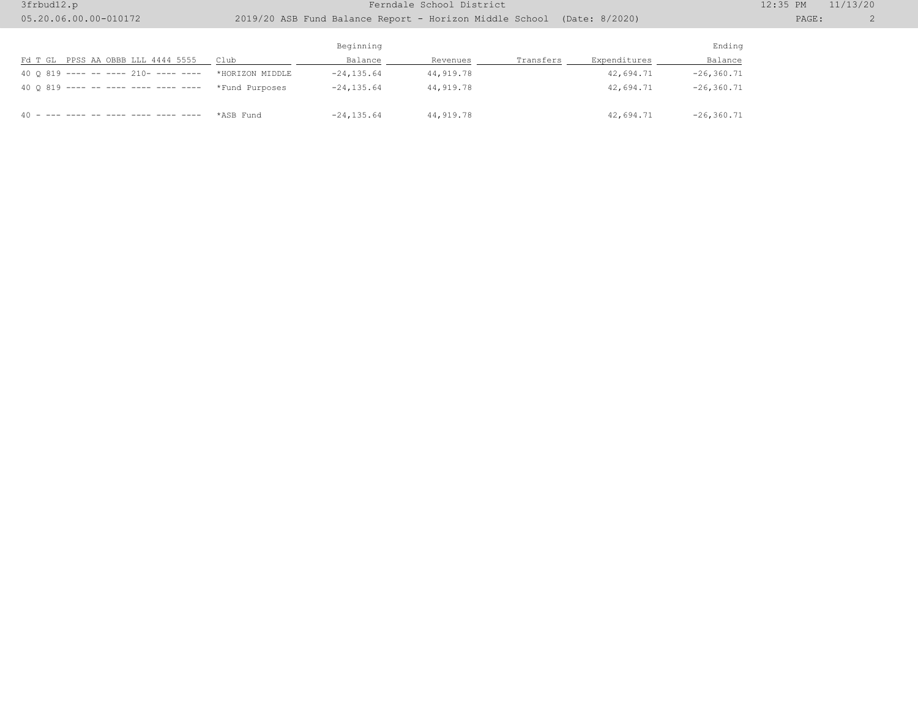3frbud12.p 05.20.06.00.00-010172

## 3fremdale School District 12:35 PM 11/13/20

## 2019/20 ASB Fund Balance Report - Horizon Middle School (Date: 8/2020) PAGE: PAGE: 2

|                                         |                 |                |           |           | Ending       |                |
|-----------------------------------------|-----------------|----------------|-----------|-----------|--------------|----------------|
| PPSS AA OBBB LLL 4444 5555<br>Fd T GL   | Club            | Balance        | Revenues  | Transfers | Expenditures | Balance        |
| 40 0 819 ---- -- ---- 210- ---- ----    | *HORIZON MIDDLE | $-24, 135, 64$ | 44,919.78 |           | 42,694.71    | $-26, 360, 71$ |
| 40 0 819 ---- -- ---- ---- ---- ----    | *Fund Purposes  | $-24, 135, 64$ | 44,919.78 |           | 42,694.71    | $-26, 360, 71$ |
| $40 -$<br>and done as and done does not | *ASB Fund       | $-24, 135.64$  | 44,919.78 |           | 42,694.71    | $-26, 360, 71$ |